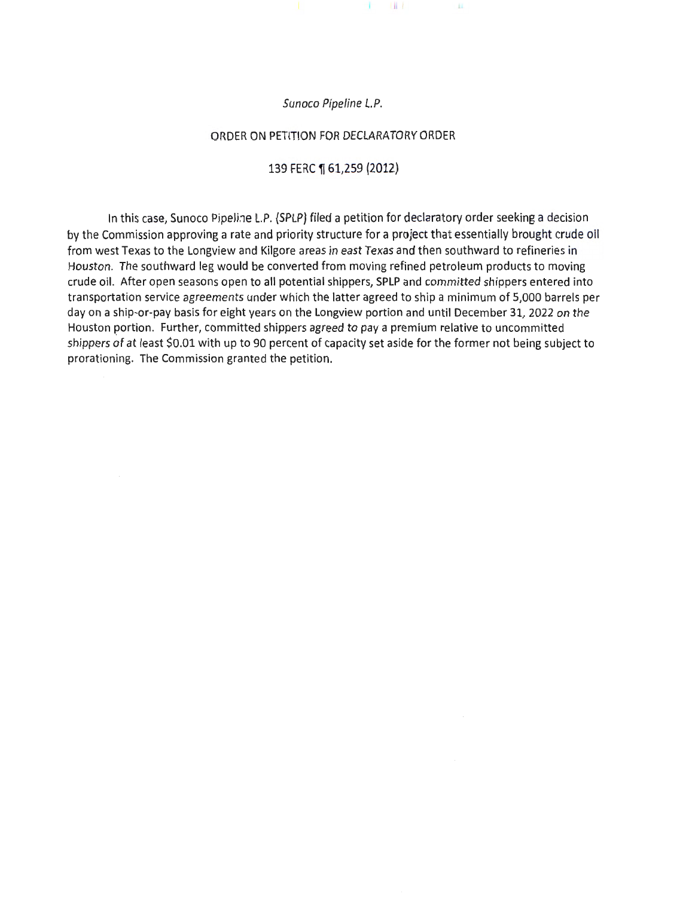### Sunoco Pipeline L.P.

 $1$   $11$ 

Ш.

#### ORDER ON PETITION FOR DECLARATORY ORDER

### 139 FERC 1 61,259 (2012)

In this case, Sunoco Pipeline L.P. (SPLP) filed a petition for declaratory order seeking a decision by the Commission approving a rate and priority structure for a project that essentially brought crude oil from west Texas to the Longview and Kilgore areas in east Texas and then southward to refineries in Houston. The southward leg would be converted from moving refined petroleum products to moving crude oil. After open seasons open to all potential shippers, SPLP and committed shippers entered into transportation service agreements under which the latter agreed to ship a minimum of 5,000 barrels per day on a ship-or-pay basis for eight years on the Longview portion and until December 31, 2022 on the Houston portion. Further, committed shippers agreed to pay a premium relative to uncommitted shippers of at least \$0.01 with up to 90 percent of capacity set aside for the former not being subject to prorationing. The Commission granted the petition.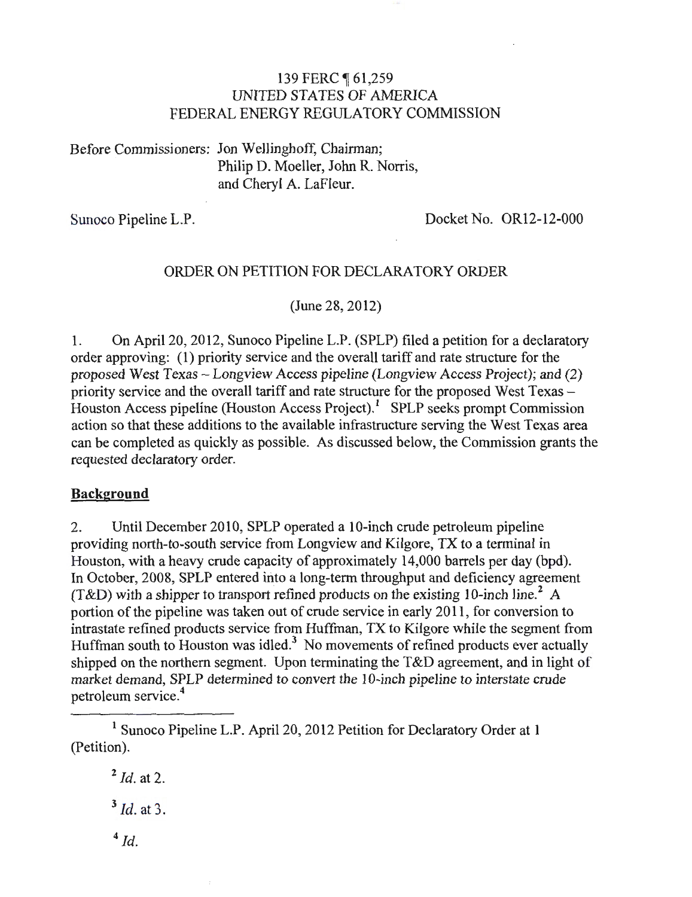# 139 FERC 161,259 UNITED STATES OF AMERICA FEDERAL ENERGY REGULATORY COMMISSION

Before Commissioners: Jon Wellinghoff, Chairman; Philip D. Moeller, John R. Norris, and Cheryl A. LaFleur.

Sunoco Pipeline L.P. Docket No. OR12-12-000

# ORDER ON PETITION FOR DECLARATORY ORDER

(June 28, 2012)

1. On April 20, 2012, Sunoco Pipeline L.P. (SPLP) filed a petition for a declaratory order approving: ( 1) priority service and the overall tariff and rate structure for the proposed West Texas- Longview Access pipeline (Longview Access Project); and (2) priority service and the overall tariff and rate structure for the proposed West Texas-Houston Access pipeline (Houston Access Project). $<sup>1</sup>$  SPLP seeks prompt Commission</sup> action so that these additions to the available infrastructure serving the West Texas area can be completed as quickly as possible. As discussed below, the Commission grants the requested declaratory order.

# **Background**

2. Until December 2010, SPLP operated a 10-inch crude petroleum pipeline providing north-to-south service from Longview and Kilgore, TX to a terminal in Houston, with a heavy crude capacity of approximately 14,000 barrels per day (bpd). In October, 2008, SPLP entered into a long-term throughput and deficiency agreement (T&L) with a shipper to transport refined products on the existing 10-inch line.<sup>2</sup> A portion of the pipeline was taken out of crude service in early 2011 , for conversion to intrastate refined products service from Huffman, TX to Kilgore while the segment from Huffman south to Houston was idled.<sup>3</sup> No movements of refined products ever actually shipped on the northern segment. Upon terminating the T&D agreement, and in light of market demand, SPLP determined to convert the 10-inch pipeline to interstate crude petroleum service.<sup>4</sup>

<sup>2</sup>*!d.* at 2. <sup>3</sup>*Id.* at 3.

 $4$  Id.

<sup>&</sup>lt;sup>1</sup> Sunoco Pipeline L.P. April 20, 2012 Petition for Declaratory Order at 1 (Petition).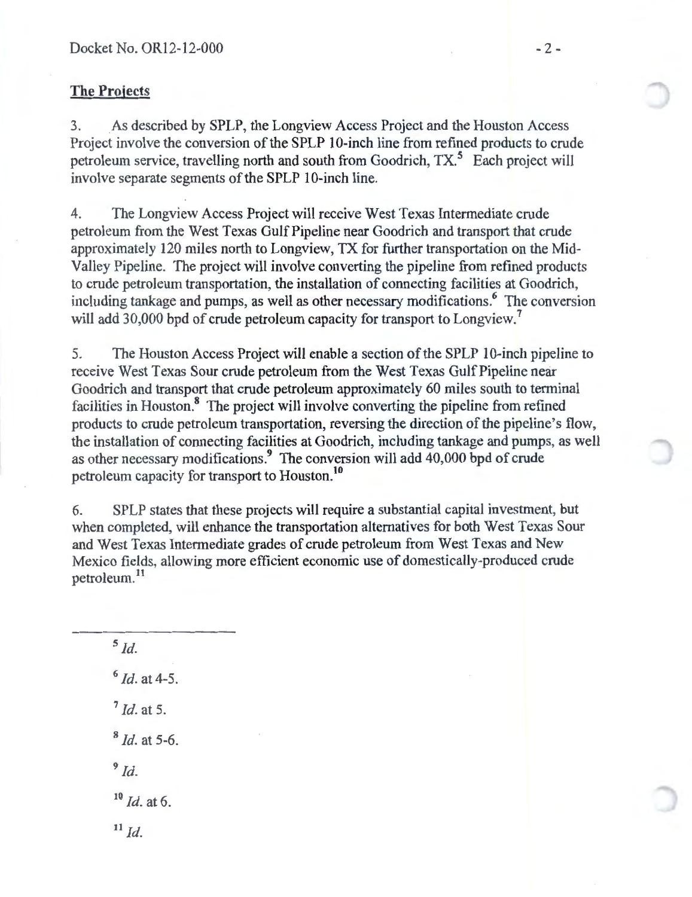# **The Projects**

3. As described by SPLP, the Longview Access Project and the Houston Access Project involve the conversion of the SPLP 10-inch line from refined products to crude petroleum service, travelling north and south from Goodrich, TX.<sup>5</sup> Each project will involve separate segments of the SPLP 10-inch line.

4. The Longview Access Project will receive West Texas Intermediate crude petroleum from the West Texas Gulf Pipeline near Goodrich and transport that crude approximately 120 miles north to Longview, TX for further transportation on the Mid-Valley Pipeline. The project will involve converting the pipeline from refined products to crude petroleum transportation, the installation of connecting facilities at Goodrich, including tankage and pumps, as well as other necessary modifications.<sup>6</sup> The conversion will add 30,000 bpd of crude petroleum capacity for transport to Longview.<sup>7</sup>

5. The Houston Access Project will enable a section of the SPLP 10-inch pipeline to receive West Texas Sour crude petroleum from the West Texas Gulf Pipeline near Goodrich and transport that crude petroleum approximately 60 miles south to terminal facilities in Houston.<sup>8</sup> The project will involve converting the pipeline from refined products to crude petroleum transportation, reversing the direction of the pipeline's flow, the installation of connecting facilities at Goodrich, including tankage and pumps, as well as other necessary modifications.<sup>9</sup> The conversion will add 40,000 bpd of crude petroleum capacity for transport to Houston.<sup>10</sup>

6. SPLP states that these projects will require a substantial capital investment, but when completed, will enhance the transportation alternatives for both West Texas Sour and West Texas Intermediate grades of crude petroleum from West Texas and New Mexico fields, allowing more efficient economic use of domestically-produced crude petroleum.<sup>11</sup>

 $<sup>5</sup>$ Id.</sup> <sup>6</sup>*!d.* at 4-5. <sup>7</sup>*!d.* at 5. <sup>8</sup>*!d.* at 5-6.  $9<sub>Id</sub>$ <sup>10</sup>*!d.* at 6.  $^{11}$  *Id.*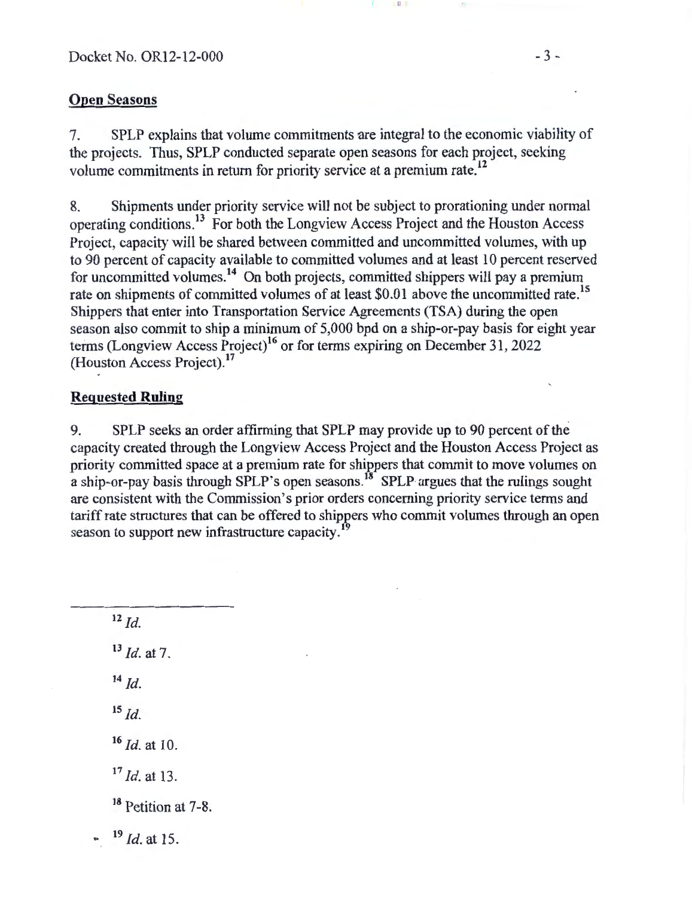# Open Seasons

7. SPLP explains that volume commitments me integral to the economic viability of the projects. Thus, SPLP conducted separate open seasons for each project, seeking volume commitments in return for priority service at a premium rate. <sup>12</sup>

II I

8. Shipments under priority service will not be subject to prorationing under normal operating conditions. 13 For both the Longview Access Project and the Houston Access Project, capacity will be shared between committed and uncommitted volumes, with up to 90 percent of capacity available to committed volumes and at least 10 percent reserved for uncommitted volumes. 14 On both projects, committed shippers will pay a premium rate on shipments of committed volumes of at least \$0.01 above the uncommitted rate.<sup>15</sup> Shippers that enter into Transportation Service Agreements (TSA) during the open season also commit to ship a minimum of 5,000 bpd on a ship-or-pay basis for eight year terms (Longview Access Project)<sup>16</sup> or for terms expiring on December 31, 2022 (Houston Access Project).<sup>17</sup>

# Requested Ruling

9. SPLP seeks an order affirming that SPLP may provide up to 90 percent of the capacity created through the Longview Access Project and the Houston Access Project as priority committed space at a premium rate for shippers that commit to move volumes on a ship-or-pay basis through SPLP's open seasons.<sup>18</sup> SPLP argues that the rulings sought are consistent with the Commission's prior orders concerning priority service terms and tariff rate structures that can be offered to shippers who commit volumes through an open season to support new infrastructure capacity.<sup>1</sup>

 $12$   $1d$ . <sup>13</sup>*!d.* at 7.  $14 \, Id$  $^{15}$  *Id.*  $^{16}$  *Id.* at 10. <sup>17</sup>*!d.* at 13. <sup>18</sup> Petition at 7-8. <sup>19</sup> *Id.* at 15.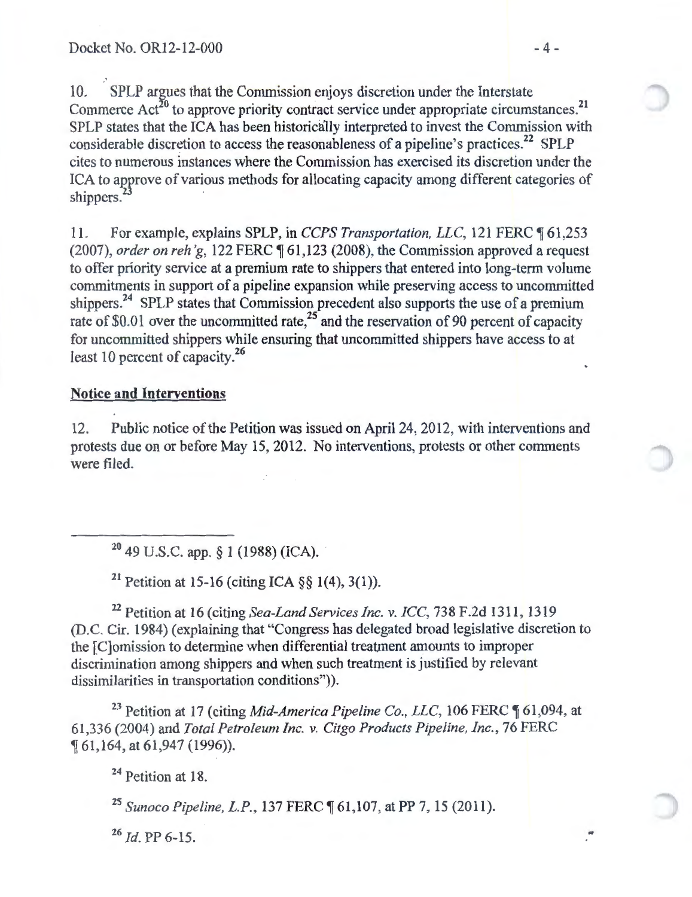.• 10. SPLP argues that the Commission enjoys discretion under the Interstate Commerce  $Act^{20}$  to approve priority contract service under appropriate circumstances.<sup>21</sup> SPLP states that the ICA has been historically interpreted to invest the Commission with considerable discretion to access the reasonableness of a pipeline's practices.<sup>22</sup> SPLP cites to numerous instances where the Commission has exercised its discretion under the ICA to approve of various methods for allocating capacity among different categories of shippers.<sup>2</sup>

11. For example, explains SPLP, in *CCPS Transportation, LLC*, 121 FERC  $\sqrt{61,253}$ (2007), *order on reh'g*, 122 FERC ¶ 61,123 (2008), the Commission approved a request to offer priority service at a premium rate to shippers that entered into long-term volume commitments in support of a pipeline expansion while preserving access to uncommitted shippers.<sup>24</sup> SPLP states that Commission precedent also supports the use of a premium rate of \$0.01 over the uncommitted rate,<sup>25</sup> and the reservation of 90 percent of capacity for uncommitted shippers while ensuring that uncommitted shippers have access to at least 10 percent of capacity.<sup>26</sup>

# **Notice and Interventions**

12. Public notice of the Petition was issued on April 24, 2012, with interventions and protests due on or before May 15, 2012. No interventions, protests or other comments were filed.

 $20$  49 U.S.C. app. § 1 (1988) (ICA).

<sup>21</sup> Petition at 15-16 (citing ICA  $\S$ § 1(4), 3(1)).

<sup>22</sup> Petition at 16 (citing *Sea-Land Services Inc. v. ICC*, 738 F.2d 1311, 1319 (D.C. Cir. 1984) (explaining that "Congress has delegated broad legislative discretion to the [C]omission to determine when differential treatment amounts to improper discrimination among shippers and when such treatment is justified by relevant dissimilarities in transportation conditions")).

<sup>23</sup> Petition at 17 (citing *Mid-America Pipeline Co., LLC,* 106 FERC ¶ 61,094, at 61 ,336 (2004) and *Total Petroleum Inc. v. Citgo Products Pipeline, Inc.,* 76 FERC <sup>~</sup>61,164, at 61,947 (1996)).

<sup>24</sup> Petition at 18.

<sup>25</sup> Sunoco Pipeline, L.P., 137 FERC ¶ 61,107, at PP 7, 15 (2011).

<sup>26</sup> *Id.* PP 6-15.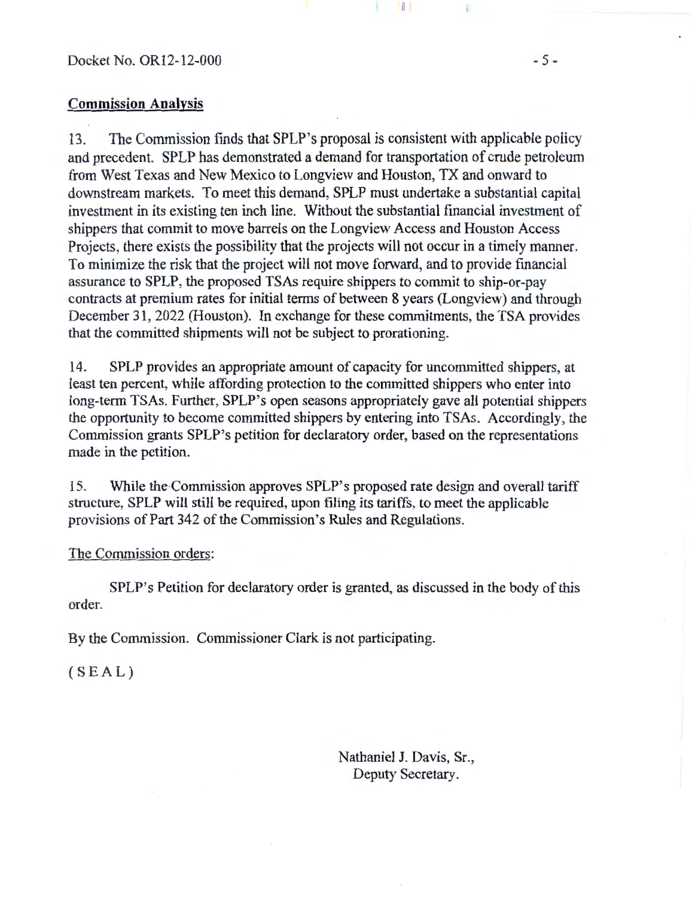## **Commission Analysis**

13. The Commission finds that SPLP's proposal is consistent with applicable policy and precedent. SPLP has demonstrated a demand for transportation of crude petroleum from West Texas and New Mexico to Longview and Houston, TX and onward to downstream markets. To meet this demand, SPLP must undertake a substantial capital investment in its existing ten inch line. Without the substantial financial investment of shippers that commit to move barrels on the Longview Access and Houston Access Projects, there exists the possibility that the projects will not occur in a timely manner. To minimize the risk that the project will not move forward, and to provide financial assurance to SPLP, the proposed TSAs require shippers to commit to ship-or-pay contracts at premium rates for initial terms of between 8 years (Longview) and through December 31, 2022 (Houston). In exchange for these commitments, the TSA provides that the committed shipments will not be subject to prorationing.

Ш

14. SPLP provides an appropriate amount of capacity for uncommitted shippers, at least ten percent, while affording protection to the committed shippers who enter into long-term TSAs. Further, SPLP's open seasons appropriately gave all potential shippers the opportunity to become committed shippers by entering into TSAs. Accordingly, the Commission grants SPLP's petition for declaratory order, based on the representations made in the petition.

15. While the Commission approves SPLP's proposed rate design and overall tariff structure, SPLP will still be required, upon filing its tariffs, to meet the applicable provisions of Part 342 of the Commission's Rules and Regulations.

## The Commission orders:

SPLP's Petition for declaratory order is granted, as discussed in the body of this order.

By the Commission. Commissioner Clark is not participating.

 $(SEAL)$ 

Nathaniel J. Davis, Sr., Deputy Secretary.